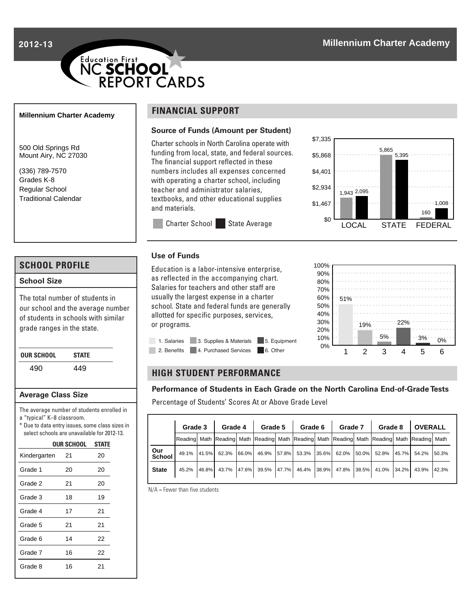**2012-13**

# Education First<br>NC SCHOOL<br>
REPORT CARDS

#### **Millennium Charter Academy**

500 Old Springs Rd Mount Airy, NC 27030

(336) 789-7570 Grades K-8 Regular School Traditional Calendar

## **SCHOOL PROFILE**

## **School Size**

The total number of students in our school and the average number of students in schools with similar grade ranges in the state.

| OUR SCHOOL | <b>STATE</b> |
|------------|--------------|
| 490        | 449          |

#### **Average Class Size**

The average number of students enrolled in a "typical" K–8 classroom.

\* Due to data entry issues, some class sizes in select schools are unavailable for 2012-13.

|  | <b>OUR SCHOOL STATE</b> |        |
|--|-------------------------|--------|
|  | $\sim$                  | $\sim$ |

| Kindergarten | 21 | 20 |
|--------------|----|----|
| Grade 1      | 20 | 20 |
| Grade 2      | 21 | 20 |
| Grade 3      | 18 | 19 |
| Grade 4      | 17 | 21 |
| Grade 5      | 21 | 21 |
| Grade 6      | 14 | 22 |
| Grade 7      | 16 | 22 |
| Grade 8      | 16 | 21 |
|              |    |    |

# **FINANCIAL SUPPORT**

**Use of Funds**

or programs.

#### **Source of Funds (Amount per Student)**

Charter schools in North Carolina operate with funding from local, state, and federal sources. The financial support reflected in these numbers includes all expenses concerned with operating a charter school, including teacher and administrator salaries, textbooks, and other educational supplies and materials.





## **HIGH STUDENT PERFORMANCE**

1. Salaries 3. Supplies & Materials 5. Equipment 2. Benefits 4. Purchased Services 6. Other

Education is a labor-intensive enterprise, as reflected in the accompanying chart. Salaries for teachers and other staff are usually the largest expense in a charter school. State and federal funds are generally allotted for specific purposes, services,

Charter School State Average

#### **Performance of Students in Each Grade on the North Carolina End-of-Grade Tests**

Percentage of Students' Scores At or Above Grade Level

|               |                                                                                                                      | Grade 3   Grade 4   Grade 5   Grade 6   Grade 7   Grade 8 |  |  |                                                                                     |  |  |  |  |  |  | OVERALL |  |        |
|---------------|----------------------------------------------------------------------------------------------------------------------|-----------------------------------------------------------|--|--|-------------------------------------------------------------------------------------|--|--|--|--|--|--|---------|--|--------|
|               | Reading   Math   Reading   Math   Reading   Math   Reading   Math   Reading   Math   Reading   Math   Reading   Math |                                                           |  |  |                                                                                     |  |  |  |  |  |  |         |  |        |
| Our<br>School |                                                                                                                      |                                                           |  |  | 49.1% 41.5% 62.3% 66.0% 46.9% 57.8% 53.3% 35.6% 62.0% 50.0% 52.8% 45.7% 54.2%       |  |  |  |  |  |  |         |  | 150.3% |
| <b>State</b>  |                                                                                                                      |                                                           |  |  | 45.2% 46.8% 43.7% 47.6% 39.5% 47.7% 46.4% 38.9% 47.8% 38.5% 41.0% 34.2% 43.9% 42.3% |  |  |  |  |  |  |         |  |        |

N/A = Fewer than five students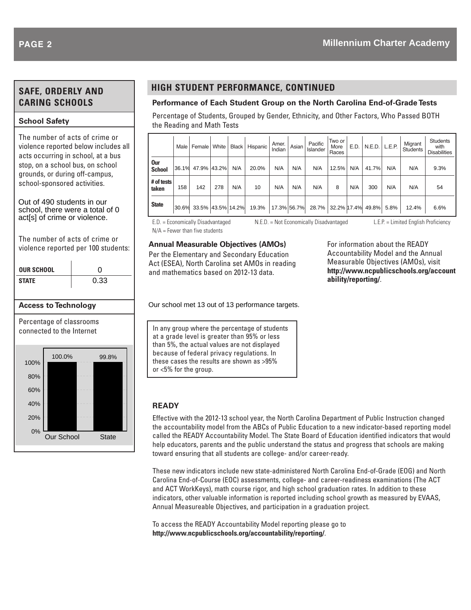# **SAFE, ORDERLY AND CARING SCHOOLS**

## **School Safety**

The number of acts of crime or violence reported below includes all acts occurring in school, at a bus stop, on a school bus, on school grounds, or during off-campus, school-sponsored activities.

Out of 490 students in our school, there were a total of 0 act[s] of crime or violence.

The number of acts of crime or violence reported per 100 students:

| <b>OUR SCHOOL</b> |                                                       |      |       |  |  |  |  |  |
|-------------------|-------------------------------------------------------|------|-------|--|--|--|--|--|
| <b>STATE</b>      |                                                       | 0.33 |       |  |  |  |  |  |
|                   | <b>Access to Technology</b>                           |      |       |  |  |  |  |  |
|                   | Percentage of classrooms<br>connected to the Internet |      |       |  |  |  |  |  |
| 100%              | 100.0%                                                |      | 99.8% |  |  |  |  |  |
| 80%               |                                                       |      |       |  |  |  |  |  |
| 60%               |                                                       |      |       |  |  |  |  |  |
| 40%               |                                                       |      |       |  |  |  |  |  |
| 20%               |                                                       |      |       |  |  |  |  |  |
| $\Omega$ %        |                                                       |      |       |  |  |  |  |  |

Our School State

## **HIGH STUDENT PERFORMANCE, CONTINUED**

## **Performance of Each Student Group on the North Carolina End-of-Grade Tests**

Percentage of Students, Grouped by Gender, Ethnicity, and Other Factors, Who Passed BOTH the Reading and Math Tests

|                      | Male I | Female   White          |     |     | Black Hispanic | Amer.<br>Indian | Asian | Pacific<br>Islander     | Two or<br>More<br>Races | E.D. | $N.E.D.$ L.E.P. |      | Migrant<br><b>Students</b> | <b>Students</b><br>with<br><b>Disabilities</b> |
|----------------------|--------|-------------------------|-----|-----|----------------|-----------------|-------|-------------------------|-------------------------|------|-----------------|------|----------------------------|------------------------------------------------|
| 0ur<br><b>School</b> | 36.1%  | 47.9% 43.2%             |     | N/A | 20.0%          | N/A             | N/A   | N/A                     | 12.5%                   | N/A  | 41.7%           | N/A  | N/A                        | 9.3%                                           |
| # of tests<br>taken  | 158    | 142                     | 278 | N/A | 10             | N/A             | N/A   | N/A                     | 8                       | N/A  | 300             | N/A  | N/A                        | 54                                             |
| <b>State</b>         |        | 30.6% 33.5% 43.5% 14.2% |     |     | 19.3%          | 17.3% 56.7%     |       | 28.7% 32.2% 17.4% 49.8% |                         |      |                 | 5.8% | 12.4%                      | 6.6%                                           |

N/A = Fewer than five students

E.D. = Economically Disadvantaged N.E.D. = Not Economically Disadvantaged L.E.P. = Limited English Proficiency

For information about the READY Accountability Model and the Annual Measurable Objectives (AMOs), visit **http://www.ncpublicschools.org/account ability/reporting/**.

In any group where the percentage of students at a grade level is greater than 95% or less than 5%, the actual values are not displayed because of federal privacy regulations. In these cases the results are shown as >95% or <5% for the group.

Our school met 13 out of 13 performance targets.

**Annual Measurable Objectives (AMOs)** Per the Elementary and Secondary Education Act (ESEA), North Carolina set AMOs in reading and mathematics based on 2012-13 data.

## **READY**

Effective with the 2012-13 school year, the North Carolina Department of Public Instruction changed the accountability model from the ABCs of Public Education to a new indicator-based reporting model called the READY Accountability Model. The State Board of Education identified indicators that would help educators, parents and the public understand the status and progress that schools are making toward ensuring that all students are college- and/or career-ready.

These new indicators include new state-administered North Carolina End-of-Grade (EOG) and North Carolina End-of-Course (EOC) assessments, college- and career-readiness examinations (The ACT and ACT WorkKeys), math course rigor, and high school graduation rates. In addition to these indicators, other valuable information is reported including school growth as measured by EVAAS, Annual Measureable Objectives, and participation in a graduation project.

To access the READY Accountability Model reporting please go to **http://www.ncpublicschools.org/accountability/reporting/**.